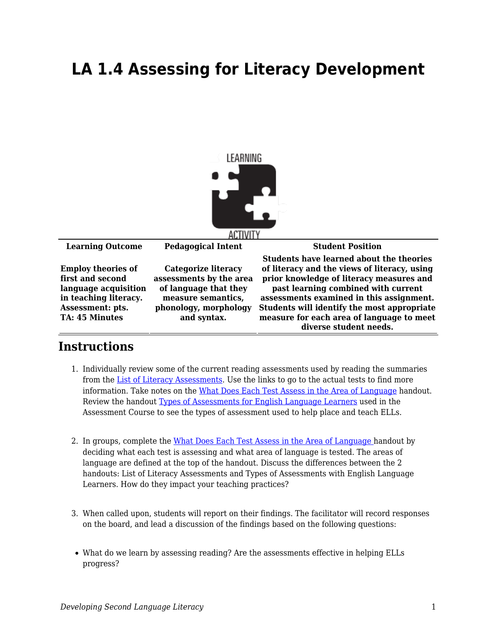## **LA 1.4 Assessing for Literacy Development**



## **Instructions**

- 1. Individually review some of the current reading assessments used by reading the summaries from the [List of Literacy Assessments](https://byu.box.com/s/owhgfacm7dsnuljw9tlgrnzjm1z32ex0). Use the links to go to the actual tests to find more information. Take notes on the [What Does Each Test Assess in the Area of Language](https://byu.box.com/s/rt71q8zj952rchv971bphfxodivf59x1) handout. Review the handout [Types of Assessments for English Language Learners](https://byu.box.com/s/180e0t8rgiqb9inwnluaizugegg3vsap) used in the Assessment Course to see the types of assessment used to help place and teach ELLs.
- 2. In groups, complete the [What Does Each Test Assess in the Area of Language](https://byu.box.com/s/rt71q8zj952rchv971bphfxodivf59x1) handout by deciding what each test is assessing and what area of language is tested. The areas of language are defined at the top of the handout. Discuss the differences between the 2 handouts: List of Literacy Assessments and Types of Assessments with English Language Learners. How do they impact your teaching practices?
- 3. When called upon, students will report on their findings. The facilitator will record responses on the board, and lead a discussion of the findings based on the following questions:
- What do we learn by assessing reading? Are the assessments effective in helping ELLs progress?